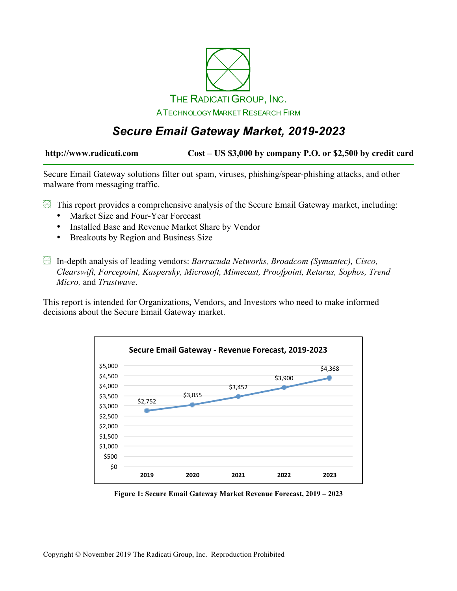

# *Secure Email Gateway Market, 2019-2023*

**http://www.radicati.com Cost – US \$3,000 by company P.O. or \$2,500 by credit card**

Secure Email Gateway solutions filter out spam, viruses, phishing/spear-phishing attacks, and other malware from messaging traffic.

 $\boxtimes$  This report provides a comprehensive analysis of the Secure Email Gateway market, including:

- Market Size and Four-Year Forecast
- Installed Base and Revenue Market Share by Vendor
- Breakouts by Region and Business Size

In-depth analysis of leading vendors: *Barracuda Networks, Broadcom (Symantec), Cisco, Clearswift, Forcepoint, Kaspersky, Microsoft, Mimecast, Proofpoint, Retarus, Sophos, Trend Micro,* and *Trustwave*.

This report is intended for Organizations, Vendors, and Investors who need to make informed decisions about the Secure Email Gateway market.



**Figure 1: Secure Email Gateway Market Revenue Forecast, 2019 – 2023**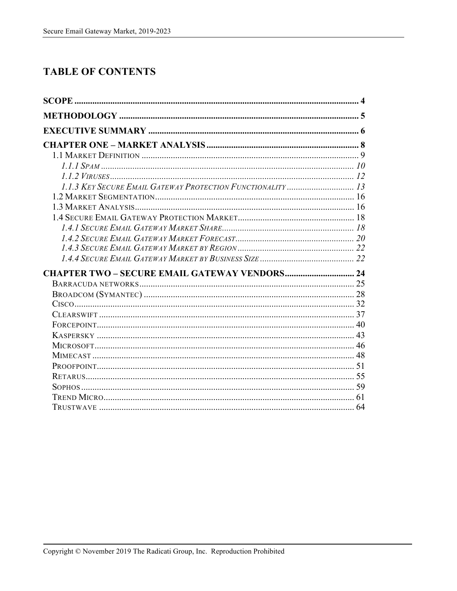## **TABLE OF CONTENTS**

| <b>CHAPTER TWO - SECURE EMAIL GATEWAY VENDORS 24</b> |  |
|------------------------------------------------------|--|
|                                                      |  |
|                                                      |  |
|                                                      |  |
|                                                      |  |
|                                                      |  |
|                                                      |  |
|                                                      |  |
|                                                      |  |
|                                                      |  |
|                                                      |  |
|                                                      |  |
|                                                      |  |
|                                                      |  |
|                                                      |  |
|                                                      |  |
|                                                      |  |
|                                                      |  |
|                                                      |  |
|                                                      |  |
|                                                      |  |
|                                                      |  |
|                                                      |  |
|                                                      |  |
|                                                      |  |
|                                                      |  |
|                                                      |  |
|                                                      |  |
|                                                      |  |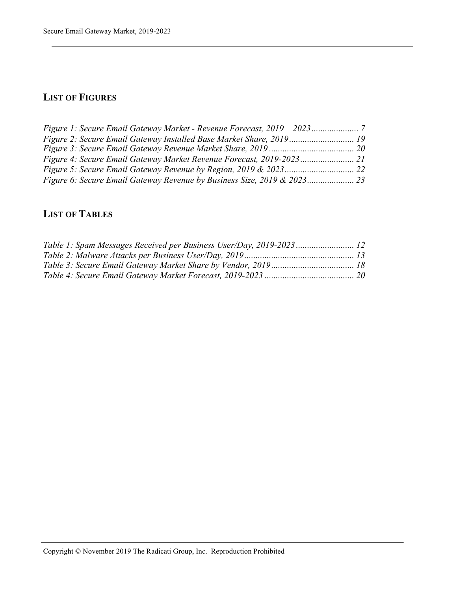### **LIST OF FIGURES**

| <i>Figure 6: Secure Email Gateway Revenue by Business Size, 2019 &amp; 2023</i> 23 |  |
|------------------------------------------------------------------------------------|--|

### **LIST OF TABLES**